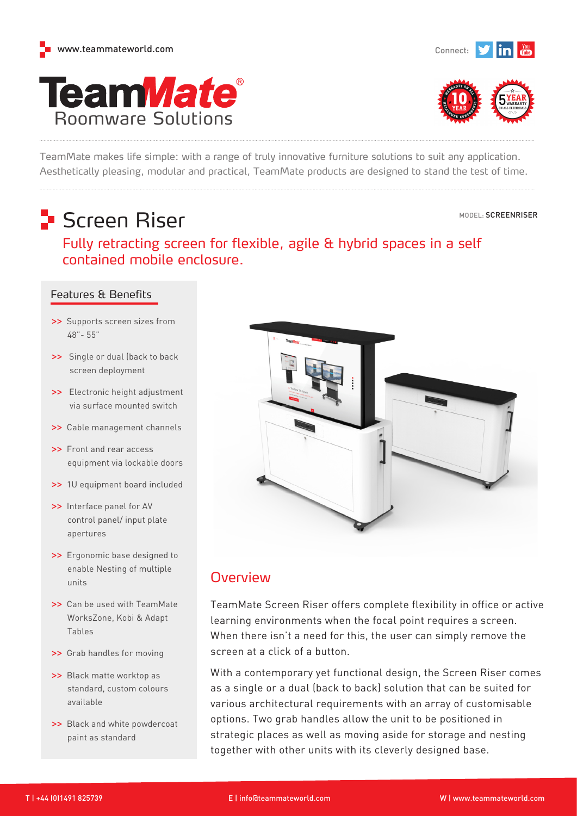





TeamMate makes life simple: with a range of truly innovative furniture solutions to suit any application. Aesthetically pleasing, modular and practical, TeamMate products are designed to stand the test of time.

## **S**creen Riser

Roomware Solutions

**TeamMate®** 

MODEL: SCREENRISER

Fully retracting screen for flexible, agile & hybrid spaces in a self contained mobile enclosure.

### Features & Benefits

- **>>** Supports screen sizes from 48"- 55"
- **>>** Single or dual (back to back screen deployment
- **>>** Electronic height adjustment via surface mounted switch
- **>>** Cable management channels
- **>>** Front and rear access equipment via lockable doors
- **>>** 1U equipment board included
- **>>** Interface panel for AV control panel/ input plate apertures
- **>>** Ergonomic base designed to enable Nesting of multiple units
- **>>** Can be used with TeamMate WorksZone, Kobi & Adapt Tables
- **>>** Grab handles for moving
- **>>** Black matte worktop as standard, custom colours available
- **>>** Black and white powdercoat paint as standard



## **Overview**

TeamMate Screen Riser offers complete flexibility in office or active learning environments when the focal point requires a screen. When there isn't a need for this, the user can simply remove the screen at a click of a button.

With a contemporary yet functional design, the Screen Riser comes as a single or a dual (back to back) solution that can be suited for various architectural requirements with an array of customisable options. Two grab handles allow the unit to be positioned in strategic places as well as moving aside for storage and nesting together with other units with its cleverly designed base.